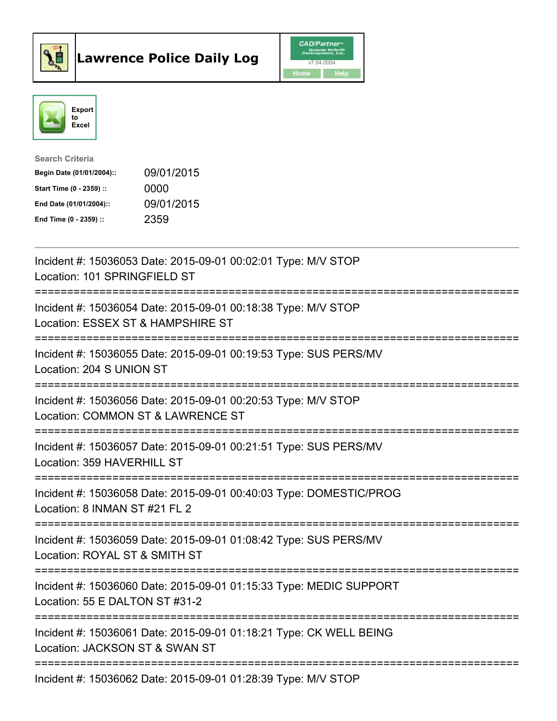



| <b>Search Criteria</b>    |            |
|---------------------------|------------|
| Begin Date (01/01/2004):: | 09/01/2015 |
| Start Time (0 - 2359) ::  | 0000       |
| End Date (01/01/2004)::   | 09/01/2015 |
| End Time $(0 - 2359)$ :   | 2359       |

| Incident #: 15036053 Date: 2015-09-01 00:02:01 Type: M/V STOP<br>Location: 101 SPRINGFIELD ST                                                                              |
|----------------------------------------------------------------------------------------------------------------------------------------------------------------------------|
| Incident #: 15036054 Date: 2015-09-01 00:18:38 Type: M/V STOP<br>Location: ESSEX ST & HAMPSHIRE ST                                                                         |
| Incident #: 15036055 Date: 2015-09-01 00:19:53 Type: SUS PERS/MV<br>Location: 204 S UNION ST                                                                               |
| Incident #: 15036056 Date: 2015-09-01 00:20:53 Type: M/V STOP<br>Location: COMMON ST & LAWRENCE ST<br>===========================                                          |
| Incident #: 15036057 Date: 2015-09-01 00:21:51 Type: SUS PERS/MV<br>Location: 359 HAVERHILL ST                                                                             |
| Incident #: 15036058 Date: 2015-09-01 00:40:03 Type: DOMESTIC/PROG<br>Location: 8 INMAN ST #21 FL 2<br>:========================<br>====================================== |
| Incident #: 15036059 Date: 2015-09-01 01:08:42 Type: SUS PERS/MV<br>Location: ROYAL ST & SMITH ST                                                                          |
| Incident #: 15036060 Date: 2015-09-01 01:15:33 Type: MEDIC SUPPORT<br>Location: 55 E DALTON ST #31-2                                                                       |
| Incident #: 15036061 Date: 2015-09-01 01:18:21 Type: CK WELL BEING<br>Location: JACKSON ST & SWAN ST<br>-------------------------                                          |
| Incident #: 15036062 Date: 2015-09-01 01:28:39 Type: M/V STOP                                                                                                              |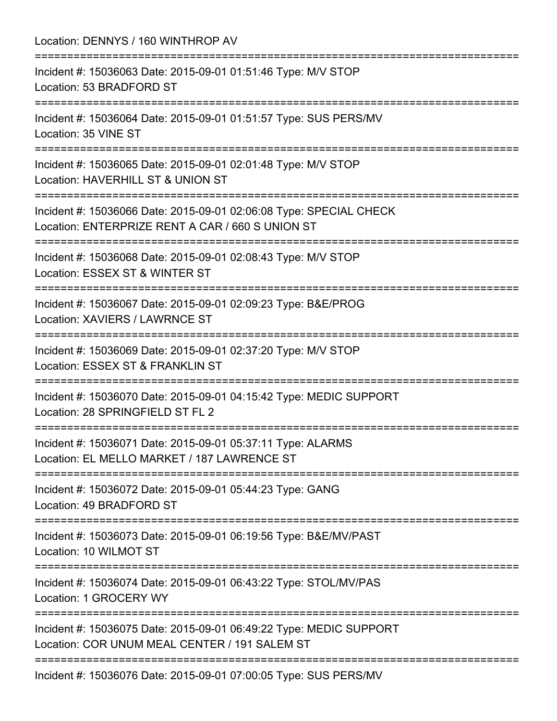| Location: DENNYS / 160 WINTHROP AV<br>:=============================                                                                |
|-------------------------------------------------------------------------------------------------------------------------------------|
| Incident #: 15036063 Date: 2015-09-01 01:51:46 Type: M/V STOP<br>Location: 53 BRADFORD ST                                           |
| Incident #: 15036064 Date: 2015-09-01 01:51:57 Type: SUS PERS/MV<br>Location: 35 VINE ST                                            |
| Incident #: 15036065 Date: 2015-09-01 02:01:48 Type: M/V STOP<br>Location: HAVERHILL ST & UNION ST                                  |
| Incident #: 15036066 Date: 2015-09-01 02:06:08 Type: SPECIAL CHECK<br>Location: ENTERPRIZE RENT A CAR / 660 S UNION ST              |
| Incident #: 15036068 Date: 2015-09-01 02:08:43 Type: M/V STOP<br>Location: ESSEX ST & WINTER ST                                     |
| Incident #: 15036067 Date: 2015-09-01 02:09:23 Type: B&E/PROG<br>Location: XAVIERS / LAWRNCE ST                                     |
| Incident #: 15036069 Date: 2015-09-01 02:37:20 Type: M/V STOP<br>Location: ESSEX ST & FRANKLIN ST                                   |
| Incident #: 15036070 Date: 2015-09-01 04:15:42 Type: MEDIC SUPPORT<br>Location: 28 SPRINGFIELD ST FL 2                              |
| Incident #: 15036071 Date: 2015-09-01 05:37:11 Type: ALARMS<br>Location: EL MELLO MARKET / 187 LAWRENCE ST                          |
| Incident #: 15036072 Date: 2015-09-01 05:44:23 Type: GANG<br>Location: 49 BRADFORD ST                                               |
| :====================================<br>Incident #: 15036073 Date: 2015-09-01 06:19:56 Type: B&E/MV/PAST<br>Location: 10 WILMOT ST |
| Incident #: 15036074 Date: 2015-09-01 06:43:22 Type: STOL/MV/PAS<br>Location: 1 GROCERY WY                                          |
| Incident #: 15036075 Date: 2015-09-01 06:49:22 Type: MEDIC SUPPORT<br>Location: COR UNUM MEAL CENTER / 191 SALEM ST                 |
| Incident #: 15036076 Date: 2015-09-01 07:00:05 Type: SUS PERS/MV                                                                    |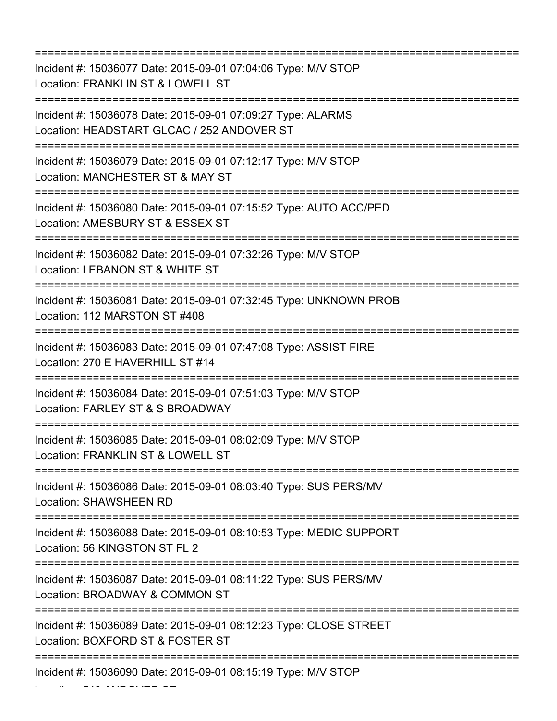=========================================================================== Incident #: 15036077 Date: 2015-09-01 07:04:06 Type: M/V STOP Location: FRANKLIN ST & LOWELL ST =========================================================================== Incident #: 15036078 Date: 2015-09-01 07:09:27 Type: ALARMS Location: HEADSTART GLCAC / 252 ANDOVER ST =========================================================================== Incident #: 15036079 Date: 2015-09-01 07:12:17 Type: M/V STOP Location: MANCHESTER ST & MAY ST =========================================================================== Incident #: 15036080 Date: 2015-09-01 07:15:52 Type: AUTO ACC/PED Location: AMESBURY ST & ESSEX ST =========================================================================== Incident #: 15036082 Date: 2015-09-01 07:32:26 Type: M/V STOP Location: LEBANON ST & WHITE ST =========================================================================== Incident #: 15036081 Date: 2015-09-01 07:32:45 Type: UNKNOWN PROB Location: 112 MARSTON ST #408 =========================================================================== Incident #: 15036083 Date: 2015-09-01 07:47:08 Type: ASSIST FIRE Location: 270 E HAVERHILL ST #14 =========================================================================== Incident #: 15036084 Date: 2015-09-01 07:51:03 Type: M/V STOP Location: FARLEY ST & S BROADWAY =========================================================================== Incident #: 15036085 Date: 2015-09-01 08:02:09 Type: M/V STOP Location: FRANKLIN ST & LOWELL ST =========================================================================== Incident #: 15036086 Date: 2015-09-01 08:03:40 Type: SUS PERS/MV Location: SHAWSHEEN RD =========================================================================== Incident #: 15036088 Date: 2015-09-01 08:10:53 Type: MEDIC SUPPORT Location: 56 KINGSTON ST FL 2 =========================================================================== Incident #: 15036087 Date: 2015-09-01 08:11:22 Type: SUS PERS/MV Location: BROADWAY & COMMON ST =========================================================================== Incident #: 15036089 Date: 2015-09-01 08:12:23 Type: CLOSE STREET Location: BOXFORD ST & FOSTER ST =========================================================================== Incident #: 15036090 Date: 2015-09-01 08:15:19 Type: M/V STOP

Location: 540 ANDOVER ST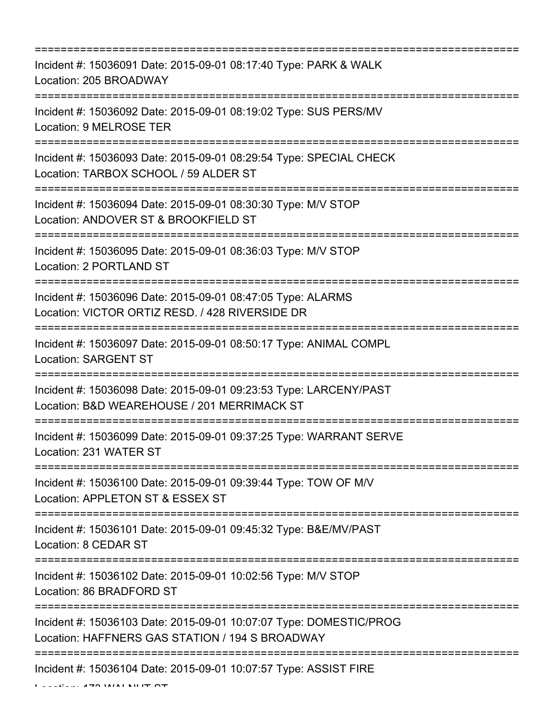| Incident #: 15036091 Date: 2015-09-01 08:17:40 Type: PARK & WALK<br>Location: 205 BROADWAY                            |
|-----------------------------------------------------------------------------------------------------------------------|
| Incident #: 15036092 Date: 2015-09-01 08:19:02 Type: SUS PERS/MV<br>Location: 9 MELROSE TER                           |
| Incident #: 15036093 Date: 2015-09-01 08:29:54 Type: SPECIAL CHECK<br>Location: TARBOX SCHOOL / 59 ALDER ST           |
| Incident #: 15036094 Date: 2015-09-01 08:30:30 Type: M/V STOP<br>Location: ANDOVER ST & BROOKFIELD ST                 |
| Incident #: 15036095 Date: 2015-09-01 08:36:03 Type: M/V STOP<br>Location: 2 PORTLAND ST                              |
| Incident #: 15036096 Date: 2015-09-01 08:47:05 Type: ALARMS<br>Location: VICTOR ORTIZ RESD. / 428 RIVERSIDE DR        |
| Incident #: 15036097 Date: 2015-09-01 08:50:17 Type: ANIMAL COMPL<br><b>Location: SARGENT ST</b>                      |
| Incident #: 15036098 Date: 2015-09-01 09:23:53 Type: LARCENY/PAST<br>Location: B&D WEAREHOUSE / 201 MERRIMACK ST      |
| Incident #: 15036099 Date: 2015-09-01 09:37:25 Type: WARRANT SERVE<br>Location: 231 WATER ST                          |
| Incident #: 15036100 Date: 2015-09-01 09:39:44 Type: TOW OF M/V<br>Location: APPLETON ST & ESSEX ST                   |
| Incident #: 15036101 Date: 2015-09-01 09:45:32 Type: B&E/MV/PAST<br>Location: 8 CEDAR ST                              |
| Incident #: 15036102 Date: 2015-09-01 10:02:56 Type: M/V STOP<br>Location: 86 BRADFORD ST                             |
| Incident #: 15036103 Date: 2015-09-01 10:07:07 Type: DOMESTIC/PROG<br>Location: HAFFNERS GAS STATION / 194 S BROADWAY |
| Incident #: 15036104 Date: 2015-09-01 10:07:57 Type: ASSIST FIRE                                                      |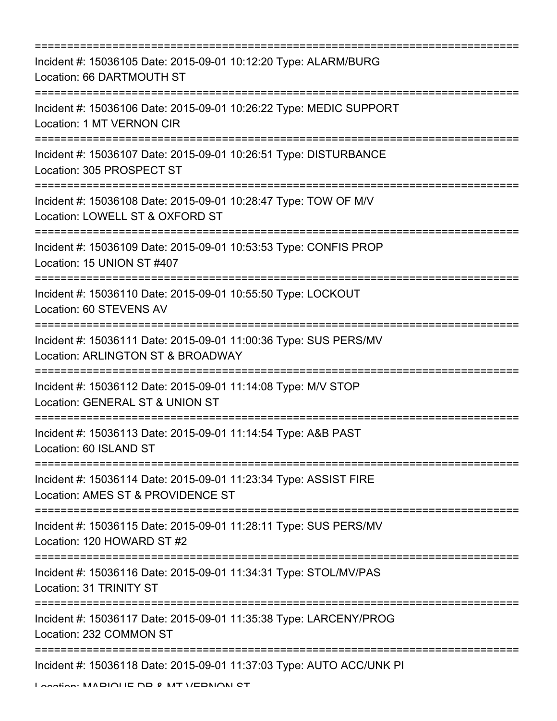| Incident #: 15036105 Date: 2015-09-01 10:12:20 Type: ALARM/BURG<br>Location: 66 DARTMOUTH ST                        |
|---------------------------------------------------------------------------------------------------------------------|
| Incident #: 15036106 Date: 2015-09-01 10:26:22 Type: MEDIC SUPPORT<br><b>Location: 1 MT VERNON CIR</b>              |
| Incident #: 15036107 Date: 2015-09-01 10:26:51 Type: DISTURBANCE<br>Location: 305 PROSPECT ST                       |
| Incident #: 15036108 Date: 2015-09-01 10:28:47 Type: TOW OF M/V<br>Location: LOWELL ST & OXFORD ST                  |
| Incident #: 15036109 Date: 2015-09-01 10:53:53 Type: CONFIS PROP<br>Location: 15 UNION ST #407                      |
| Incident #: 15036110 Date: 2015-09-01 10:55:50 Type: LOCKOUT<br>Location: 60 STEVENS AV                             |
| Incident #: 15036111 Date: 2015-09-01 11:00:36 Type: SUS PERS/MV<br>Location: ARLINGTON ST & BROADWAY               |
| Incident #: 15036112 Date: 2015-09-01 11:14:08 Type: M/V STOP<br>Location: GENERAL ST & UNION ST                    |
| Incident #: 15036113 Date: 2015-09-01 11:14:54 Type: A&B PAST<br>Location: 60 ISLAND ST<br>======================== |
| Incident #: 15036114 Date: 2015-09-01 11:23:34 Type: ASSIST FIRE<br>Location: AMES ST & PROVIDENCE ST               |
| Incident #: 15036115 Date: 2015-09-01 11:28:11 Type: SUS PERS/MV<br>Location: 120 HOWARD ST #2                      |
| Incident #: 15036116 Date: 2015-09-01 11:34:31 Type: STOL/MV/PAS<br>Location: 31 TRINITY ST                         |
| Incident #: 15036117 Date: 2015-09-01 11:35:38 Type: LARCENY/PROG<br>Location: 232 COMMON ST                        |
| ==========================<br>Incident #: 15036118 Date: 2015-09-01 11:37:03 Type: AUTO ACC/UNK PI                  |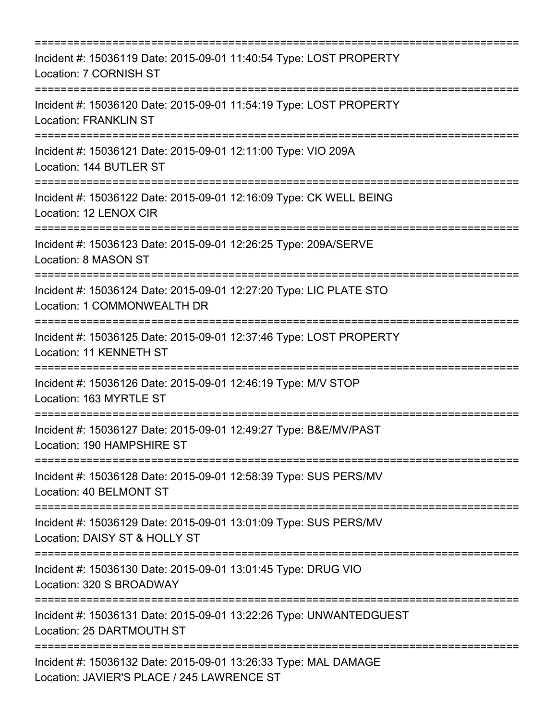| =====================================                                                                                           |
|---------------------------------------------------------------------------------------------------------------------------------|
| Incident #: 15036119 Date: 2015-09-01 11:40:54 Type: LOST PROPERTY<br>Location: 7 CORNISH ST                                    |
| Incident #: 15036120 Date: 2015-09-01 11:54:19 Type: LOST PROPERTY<br><b>Location: FRANKLIN ST</b>                              |
| Incident #: 15036121 Date: 2015-09-01 12:11:00 Type: VIO 209A<br>Location: 144 BUTLER ST                                        |
| Incident #: 15036122 Date: 2015-09-01 12:16:09 Type: CK WELL BEING<br>Location: 12 LENOX CIR                                    |
| Incident #: 15036123 Date: 2015-09-01 12:26:25 Type: 209A/SERVE<br>Location: 8 MASON ST                                         |
| Incident #: 15036124 Date: 2015-09-01 12:27:20 Type: LIC PLATE STO<br>Location: 1 COMMONWEALTH DR                               |
| Incident #: 15036125 Date: 2015-09-01 12:37:46 Type: LOST PROPERTY<br>Location: 11 KENNETH ST<br>------------------------------ |
| Incident #: 15036126 Date: 2015-09-01 12:46:19 Type: M/V STOP<br>Location: 163 MYRTLE ST                                        |
| Incident #: 15036127 Date: 2015-09-01 12:49:27 Type: B&E/MV/PAST<br>Location: 190 HAMPSHIRE ST                                  |
| Incident #: 15036128 Date: 2015-09-01 12:58:39 Type: SUS PERS/MV<br>Location: 40 BELMONT ST                                     |
| Incident #: 15036129 Date: 2015-09-01 13:01:09 Type: SUS PERS/MV<br>Location: DAISY ST & HOLLY ST                               |
| Incident #: 15036130 Date: 2015-09-01 13:01:45 Type: DRUG VIO<br>Location: 320 S BROADWAY                                       |
| Incident #: 15036131 Date: 2015-09-01 13:22:26 Type: UNWANTEDGUEST<br>Location: 25 DARTMOUTH ST                                 |
| Incident #: 15036132 Date: 2015-09-01 13:26:33 Type: MAL DAMAGE<br>Location: JAVIER'S PLACE / 245 LAWRENCE ST                   |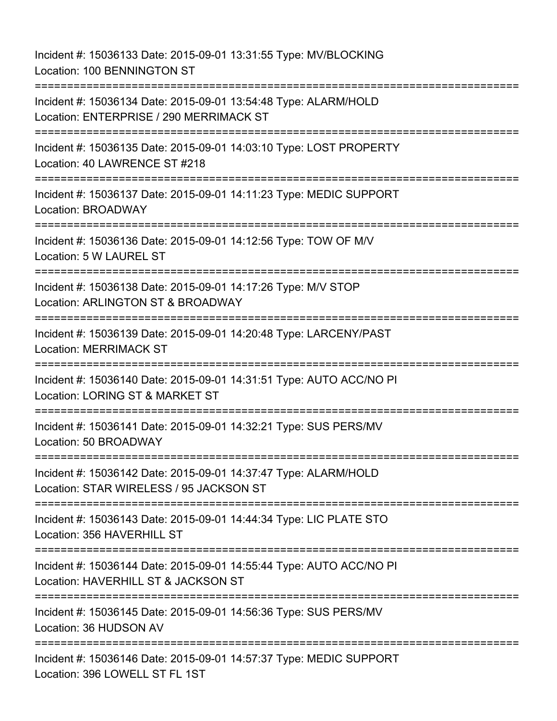Incident #: 15036133 Date: 2015-09-01 13:31:55 Type: MV/BLOCKING Location: 100 BENNINGTON ST =========================================================================== Incident #: 15036134 Date: 2015-09-01 13:54:48 Type: ALARM/HOLD Location: ENTERPRISE / 290 MERRIMACK ST =========================================================================== Incident #: 15036135 Date: 2015-09-01 14:03:10 Type: LOST PROPERTY Location: 40 LAWRENCE ST #218 =========================================================================== Incident #: 15036137 Date: 2015-09-01 14:11:23 Type: MEDIC SUPPORT Location: BROADWAY =========================================================================== Incident #: 15036136 Date: 2015-09-01 14:12:56 Type: TOW OF M/V Location: 5 W LAUREL ST =========================================================================== Incident #: 15036138 Date: 2015-09-01 14:17:26 Type: M/V STOP Location: ARLINGTON ST & BROADWAY =========================================================================== Incident #: 15036139 Date: 2015-09-01 14:20:48 Type: LARCENY/PAST Location: MERRIMACK ST =========================================================================== Incident #: 15036140 Date: 2015-09-01 14:31:51 Type: AUTO ACC/NO PI Location: LORING ST & MARKET ST =========================================================================== Incident #: 15036141 Date: 2015-09-01 14:32:21 Type: SUS PERS/MV Location: 50 BROADWAY =========================================================================== Incident #: 15036142 Date: 2015-09-01 14:37:47 Type: ALARM/HOLD Location: STAR WIRELESS / 95 JACKSON ST =========================================================================== Incident #: 15036143 Date: 2015-09-01 14:44:34 Type: LIC PLATE STO Location: 356 HAVERHILL ST =========================================================================== Incident #: 15036144 Date: 2015-09-01 14:55:44 Type: AUTO ACC/NO PI Location: HAVERHILL ST & JACKSON ST =========================================================================== Incident #: 15036145 Date: 2015-09-01 14:56:36 Type: SUS PERS/MV Location: 36 HUDSON AV ========================= Incident #: 15036146 Date: 2015-09-01 14:57:37 Type: MEDIC SUPPORT Location: 396 LOWELL ST FL 1ST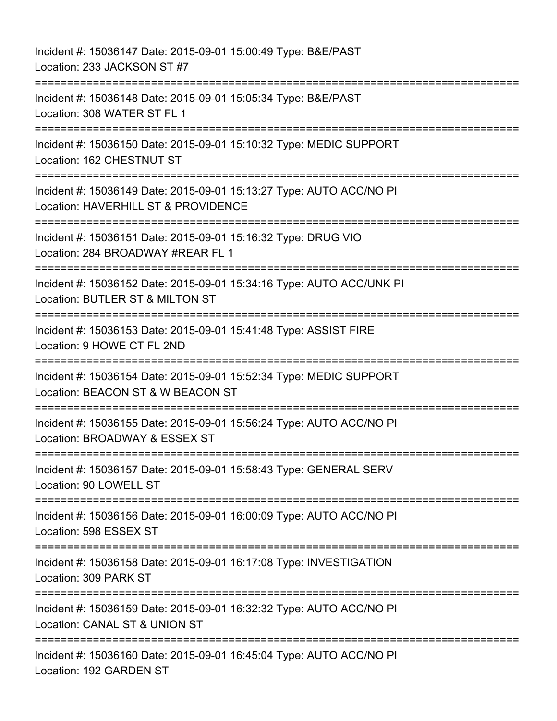Incident #: 15036147 Date: 2015-09-01 15:00:49 Type: B&E/PAST Location: 233 JACKSON ST #7 =========================================================================== Incident #: 15036148 Date: 2015-09-01 15:05:34 Type: B&E/PAST Location: 308 WATER ST FL 1 =========================================================================== Incident #: 15036150 Date: 2015-09-01 15:10:32 Type: MEDIC SUPPORT Location: 162 CHESTNUT ST =========================================================================== Incident #: 15036149 Date: 2015-09-01 15:13:27 Type: AUTO ACC/NO PI Location: HAVERHILL ST & PROVIDENCE =========================================================================== Incident #: 15036151 Date: 2015-09-01 15:16:32 Type: DRUG VIO Location: 284 BROADWAY #REAR FL 1 =========================================================================== Incident #: 15036152 Date: 2015-09-01 15:34:16 Type: AUTO ACC/UNK PI Location: BUTLER ST & MILTON ST =========================================================================== Incident #: 15036153 Date: 2015-09-01 15:41:48 Type: ASSIST FIRE Location: 9 HOWE CT FL 2ND =========================================================================== Incident #: 15036154 Date: 2015-09-01 15:52:34 Type: MEDIC SUPPORT Location: BEACON ST & W BEACON ST ============================= Incident #: 15036155 Date: 2015-09-01 15:56:24 Type: AUTO ACC/NO PI Location: BROADWAY & ESSEX ST =========================================================================== Incident #: 15036157 Date: 2015-09-01 15:58:43 Type: GENERAL SERV Location: 90 LOWELL ST =========================================================================== Incident #: 15036156 Date: 2015-09-01 16:00:09 Type: AUTO ACC/NO PI Location: 598 ESSEX ST =========================================================================== Incident #: 15036158 Date: 2015-09-01 16:17:08 Type: INVESTIGATION Location: 309 PARK ST =========================================================================== Incident #: 15036159 Date: 2015-09-01 16:32:32 Type: AUTO ACC/NO PI Location: CANAL ST & UNION ST =========================================================================== Incident #: 15036160 Date: 2015-09-01 16:45:04 Type: AUTO ACC/NO PI Location: 192 GARDEN ST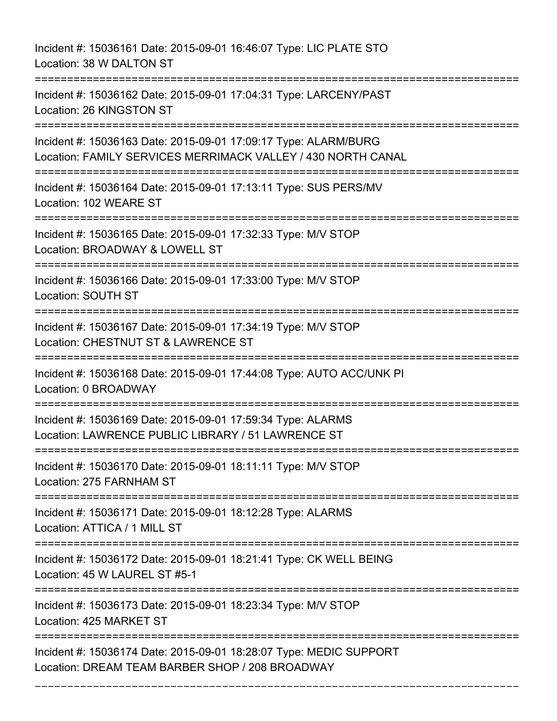Incident #: 15036161 Date: 2015-09-01 16:46:07 Type: LIC PLATE STO Location: 38 W DALTON ST

=========================================================================== Incident #: 15036162 Date: 2015-09-01 17:04:31 Type: LARCENY/PAST Location: 26 KINGSTON ST =========================================================================== Incident #: 15036163 Date: 2015-09-01 17:09:17 Type: ALARM/BURG Location: FAMILY SERVICES MERRIMACK VALLEY / 430 NORTH CANAL =========================================================================== Incident #: 15036164 Date: 2015-09-01 17:13:11 Type: SUS PERS/MV Location: 102 WEARE ST =========================================================================== Incident #: 15036165 Date: 2015-09-01 17:32:33 Type: M/V STOP Location: BROADWAY & LOWELL ST =========================================================================== Incident #: 15036166 Date: 2015-09-01 17:33:00 Type: M/V STOP Location: SOUTH ST =========================================================================== Incident #: 15036167 Date: 2015-09-01 17:34:19 Type: M/V STOP Location: CHESTNUT ST & LAWRENCE ST =========================================================================== Incident #: 15036168 Date: 2015-09-01 17:44:08 Type: AUTO ACC/UNK PI Location: 0 BROADWAY =========================================================================== Incident #: 15036169 Date: 2015-09-01 17:59:34 Type: ALARMS Location: LAWRENCE PUBLIC LIBRARY / 51 LAWRENCE ST =========================================================================== Incident #: 15036170 Date: 2015-09-01 18:11:11 Type: M/V STOP Location: 275 FARNHAM ST =========================================================================== Incident #: 15036171 Date: 2015-09-01 18:12:28 Type: ALARMS Location: ATTICA / 1 MILL ST =========================================================================== Incident #: 15036172 Date: 2015-09-01 18:21:41 Type: CK WELL BEING Location: 45 W LAUREL ST #5-1 =========================================================================== Incident #: 15036173 Date: 2015-09-01 18:23:34 Type: M/V STOP Location: 425 MARKET ST =========================================================================== Incident #: 15036174 Date: 2015-09-01 18:28:07 Type: MEDIC SUPPORT Location: DREAM TEAM BARBER SHOP / 208 BROADWAY

===========================================================================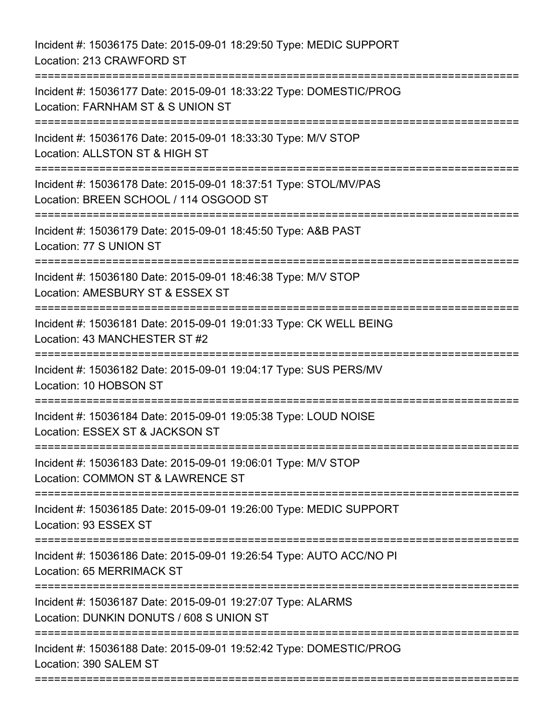Incident #: 15036175 Date: 2015-09-01 18:29:50 Type: MEDIC SUPPORT Location: 213 CRAWFORD ST =========================================================================== Incident #: 15036177 Date: 2015-09-01 18:33:22 Type: DOMESTIC/PROG Location: FARNHAM ST & S UNION ST =========================================================================== Incident #: 15036176 Date: 2015-09-01 18:33:30 Type: M/V STOP Location: ALLSTON ST & HIGH ST =========================================================================== Incident #: 15036178 Date: 2015-09-01 18:37:51 Type: STOL/MV/PAS Location: BREEN SCHOOL / 114 OSGOOD ST =========================================================================== Incident #: 15036179 Date: 2015-09-01 18:45:50 Type: A&B PAST Location: 77 S UNION ST =========================================================================== Incident #: 15036180 Date: 2015-09-01 18:46:38 Type: M/V STOP Location: AMESBURY ST & ESSEX ST =========================================================================== Incident #: 15036181 Date: 2015-09-01 19:01:33 Type: CK WELL BEING Location: 43 MANCHESTER ST #2 =========================================================================== Incident #: 15036182 Date: 2015-09-01 19:04:17 Type: SUS PERS/MV Location: 10 HOBSON ST =========================================================================== Incident #: 15036184 Date: 2015-09-01 19:05:38 Type: LOUD NOISE Location: ESSEX ST & JACKSON ST =========================================================================== Incident #: 15036183 Date: 2015-09-01 19:06:01 Type: M/V STOP Location: COMMON ST & LAWRENCE ST =========================================================================== Incident #: 15036185 Date: 2015-09-01 19:26:00 Type: MEDIC SUPPORT Location: 93 ESSEX ST =========================================================================== Incident #: 15036186 Date: 2015-09-01 19:26:54 Type: AUTO ACC/NO PI Location: 65 MERRIMACK ST =========================================================================== Incident #: 15036187 Date: 2015-09-01 19:27:07 Type: ALARMS Location: DUNKIN DONUTS / 608 S UNION ST =========================================================================== Incident #: 15036188 Date: 2015-09-01 19:52:42 Type: DOMESTIC/PROG Location: 390 SALEM ST ===========================================================================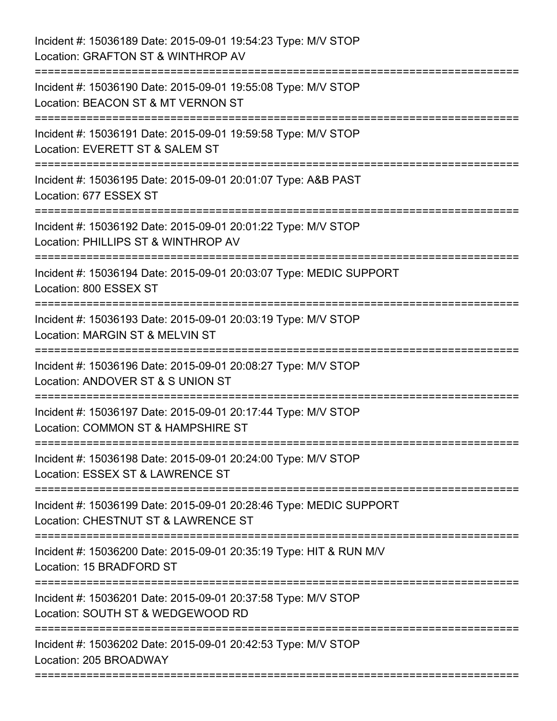| Incident #: 15036189 Date: 2015-09-01 19:54:23 Type: M/V STOP<br>Location: GRAFTON ST & WINTHROP AV                                                            |
|----------------------------------------------------------------------------------------------------------------------------------------------------------------|
| ===========================<br>========================<br>Incident #: 15036190 Date: 2015-09-01 19:55:08 Type: M/V STOP<br>Location: BEACON ST & MT VERNON ST |
| Incident #: 15036191 Date: 2015-09-01 19:59:58 Type: M/V STOP<br>Location: EVERETT ST & SALEM ST                                                               |
| Incident #: 15036195 Date: 2015-09-01 20:01:07 Type: A&B PAST<br>Location: 677 ESSEX ST<br>:=============                                                      |
| Incident #: 15036192 Date: 2015-09-01 20:01:22 Type: M/V STOP<br>Location: PHILLIPS ST & WINTHROP AV                                                           |
| Incident #: 15036194 Date: 2015-09-01 20:03:07 Type: MEDIC SUPPORT<br>Location: 800 ESSEX ST                                                                   |
| Incident #: 15036193 Date: 2015-09-01 20:03:19 Type: M/V STOP<br>Location: MARGIN ST & MELVIN ST                                                               |
| Incident #: 15036196 Date: 2015-09-01 20:08:27 Type: M/V STOP<br>Location: ANDOVER ST & S UNION ST                                                             |
| Incident #: 15036197 Date: 2015-09-01 20:17:44 Type: M/V STOP<br>Location: COMMON ST & HAMPSHIRE ST                                                            |
| Incident #: 15036198 Date: 2015-09-01 20:24:00 Type: M/V STOP<br>Location: ESSEX ST & LAWRENCE ST                                                              |
| Incident #: 15036199 Date: 2015-09-01 20:28:46 Type: MEDIC SUPPORT<br>Location: CHESTNUT ST & LAWRENCE ST                                                      |
| Incident #: 15036200 Date: 2015-09-01 20:35:19 Type: HIT & RUN M/V<br>Location: 15 BRADFORD ST                                                                 |
| Incident #: 15036201 Date: 2015-09-01 20:37:58 Type: M/V STOP<br>Location: SOUTH ST & WEDGEWOOD RD                                                             |
| Incident #: 15036202 Date: 2015-09-01 20:42:53 Type: M/V STOP<br>Location: 205 BROADWAY<br>========================                                            |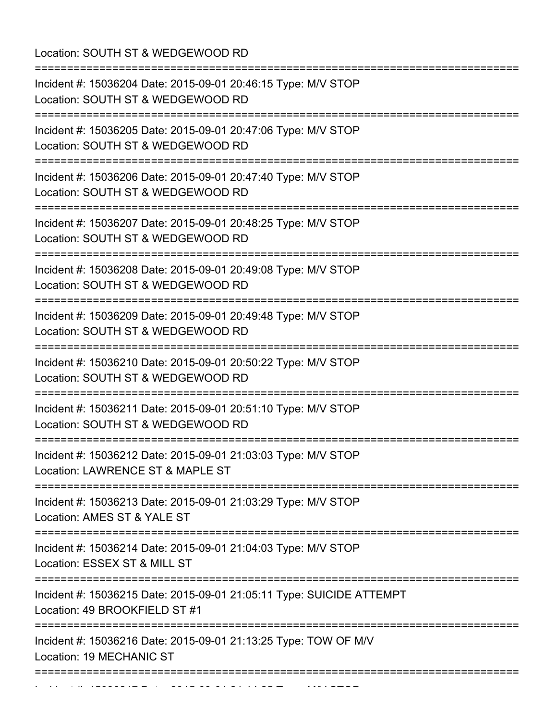Location: SOUTH ST & WEDGEWOOD RD

| ;===============================                                                                                                         |
|------------------------------------------------------------------------------------------------------------------------------------------|
| Incident #: 15036204 Date: 2015-09-01 20:46:15 Type: M/V STOP<br>Location: SOUTH ST & WEDGEWOOD RD<br>:==============================    |
| Incident #: 15036205 Date: 2015-09-01 20:47:06 Type: M/V STOP<br>Location: SOUTH ST & WEDGEWOOD RD                                       |
| Incident #: 15036206 Date: 2015-09-01 20:47:40 Type: M/V STOP<br>Location: SOUTH ST & WEDGEWOOD RD                                       |
| Incident #: 15036207 Date: 2015-09-01 20:48:25 Type: M/V STOP<br>Location: SOUTH ST & WEDGEWOOD RD                                       |
| Incident #: 15036208 Date: 2015-09-01 20:49:08 Type: M/V STOP<br>Location: SOUTH ST & WEDGEWOOD RD                                       |
| Incident #: 15036209 Date: 2015-09-01 20:49:48 Type: M/V STOP<br>Location: SOUTH ST & WEDGEWOOD RD                                       |
| Incident #: 15036210 Date: 2015-09-01 20:50:22 Type: M/V STOP<br>Location: SOUTH ST & WEDGEWOOD RD                                       |
| Incident #: 15036211 Date: 2015-09-01 20:51:10 Type: M/V STOP<br>Location: SOUTH ST & WEDGEWOOD RD                                       |
| Incident #: 15036212 Date: 2015-09-01 21:03:03 Type: M/V STOP<br>Location: LAWRENCE ST & MAPLE ST<br>----------------------------------- |
| Incident #: 15036213 Date: 2015-09-01 21:03:29 Type: M/V STOP<br>Location: AMES ST & YALE ST                                             |
| Incident #: 15036214 Date: 2015-09-01 21:04:03 Type: M/V STOP<br>Location: ESSEX ST & MILL ST                                            |
| Incident #: 15036215 Date: 2015-09-01 21:05:11 Type: SUICIDE ATTEMPT<br>Location: 49 BROOKFIELD ST #1                                    |
| Incident #: 15036216 Date: 2015-09-01 21:13:25 Type: TOW OF M/V<br>Location: 19 MECHANIC ST<br>, , , , , , , , , , , , , , , , , ,       |
|                                                                                                                                          |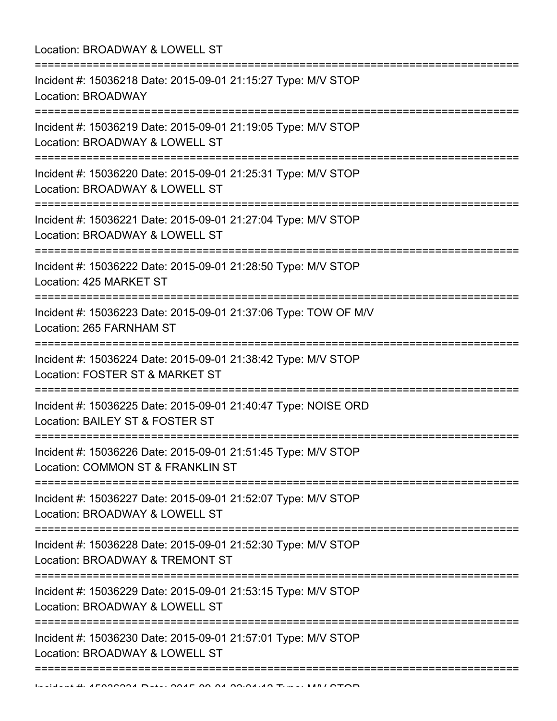| Location: BROADWAY & LOWELL ST                                                                                                      |
|-------------------------------------------------------------------------------------------------------------------------------------|
| Incident #: 15036218 Date: 2015-09-01 21:15:27 Type: M/V STOP<br>Location: BROADWAY                                                 |
| Incident #: 15036219 Date: 2015-09-01 21:19:05 Type: M/V STOP<br>Location: BROADWAY & LOWELL ST<br>;=========================       |
| Incident #: 15036220 Date: 2015-09-01 21:25:31 Type: M/V STOP<br>Location: BROADWAY & LOWELL ST<br>:============================    |
| Incident #: 15036221 Date: 2015-09-01 21:27:04 Type: M/V STOP<br>Location: BROADWAY & LOWELL ST                                     |
| Incident #: 15036222 Date: 2015-09-01 21:28:50 Type: M/V STOP<br>Location: 425 MARKET ST                                            |
| Incident #: 15036223 Date: 2015-09-01 21:37:06 Type: TOW OF M/V<br>Location: 265 FARNHAM ST                                         |
| Incident #: 15036224 Date: 2015-09-01 21:38:42 Type: M/V STOP<br>Location: FOSTER ST & MARKET ST                                    |
| Incident #: 15036225 Date: 2015-09-01 21:40:47 Type: NOISE ORD<br>Location: BAILEY ST & FOSTER ST                                   |
| Incident #: 15036226 Date: 2015-09-01 21:51:45 Type: M/V STOP<br>Location: COMMON ST & FRANKLIN ST<br>============================= |
| Incident #: 15036227 Date: 2015-09-01 21:52:07 Type: M/V STOP<br>Location: BROADWAY & LOWELL ST                                     |
| Incident #: 15036228 Date: 2015-09-01 21:52:30 Type: M/V STOP<br>Location: BROADWAY & TREMONT ST                                    |
| Incident #: 15036229 Date: 2015-09-01 21:53:15 Type: M/V STOP<br>Location: BROADWAY & LOWELL ST                                     |
| Incident #: 15036230 Date: 2015-09-01 21:57:01 Type: M/V STOP<br>Location: BROADWAY & LOWELL ST                                     |
|                                                                                                                                     |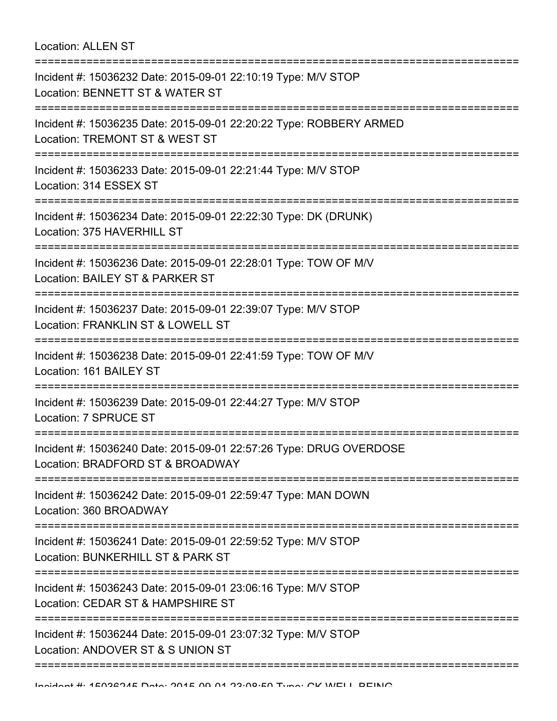Location: ALLEN ST

=========================================================================== Incident #: 15036232 Date: 2015-09-01 22:10:19 Type: M/V STOP Location: BENNETT ST & WATER ST =========================================================================== Incident #: 15036235 Date: 2015-09-01 22:20:22 Type: ROBBERY ARMED Location: TREMONT ST & WEST ST =========================================================================== Incident #: 15036233 Date: 2015-09-01 22:21:44 Type: M/V STOP Location: 314 ESSEX ST =========================================================================== Incident #: 15036234 Date: 2015-09-01 22:22:30 Type: DK (DRUNK) Location: 375 HAVERHILL ST =========================================================================== Incident #: 15036236 Date: 2015-09-01 22:28:01 Type: TOW OF M/V Location: BAILEY ST & PARKER ST =========================================================================== Incident #: 15036237 Date: 2015-09-01 22:39:07 Type: M/V STOP Location: FRANKLIN ST & LOWELL ST =========================================================================== Incident #: 15036238 Date: 2015-09-01 22:41:59 Type: TOW OF M/V Location: 161 BAILEY ST =========================================================================== Incident #: 15036239 Date: 2015-09-01 22:44:27 Type: M/V STOP Location: 7 SPRUCE ST =========================================================================== Incident #: 15036240 Date: 2015-09-01 22:57:26 Type: DRUG OVERDOSE Location: BRADFORD ST & BROADWAY =========================================================================== Incident #: 15036242 Date: 2015-09-01 22:59:47 Type: MAN DOWN Location: 360 BROADWAY =========================================================================== Incident #: 15036241 Date: 2015-09-01 22:59:52 Type: M/V STOP Location: BUNKERHILL ST & PARK ST =========================================================================== Incident #: 15036243 Date: 2015-09-01 23:06:16 Type: M/V STOP Location: CEDAR ST & HAMPSHIRE ST =========================================================================== Incident #: 15036244 Date: 2015-09-01 23:07:32 Type: M/V STOP Location: ANDOVER ST & S UNION ST ===========================================================================